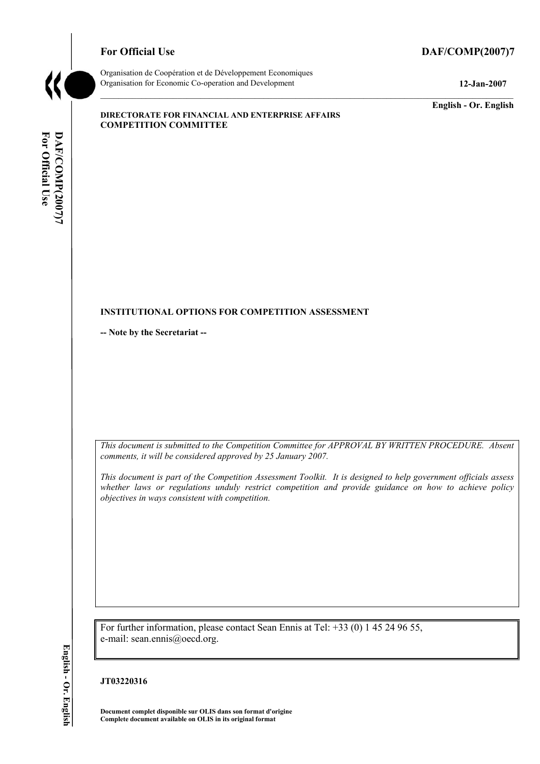### **For Official Use DAF/COMP(2007)7**



Organisation de CoopÈration et de DÈveloppement Economiques Organisation for Economic Co-operation and Development **12-Jan-2007** 

**English - Or. English** 

### **DIRECTORATE FOR FINANCIAL AND ENTERPRISE AFFAIRS COMPETITION COMMITTEE**

# For Official Use DAF/COMP(2007)7 **For Official Use DAF/COMP(2007)7 English - Or. English**

### **INSTITUTIONAL OPTIONS FOR COMPETITION ASSESSMENT**

**-- Note by the Secretariat --** 

*This document is submitted to the Competition Committee for APPROVAL BY WRITTEN PROCEDURE. Absent comments, it will be considered approved by 25 January 2007.* 

*This document is part of the Competition Assessment Toolkit. It is designed to help government officials assess whether laws or regulations unduly restrict competition and provide guidance on how to achieve policy objectives in ways consistent with competition.* 

For further information, please contact Sean Ennis at Tel: +33 (0) 1 45 24 96 55, e-mail: sean.ennis@oecd.org.

## English - Or. English

**JT03220316** 

**Document complet disponible sur OLIS dans son format d'origine Complete document available on OLIS in its original format**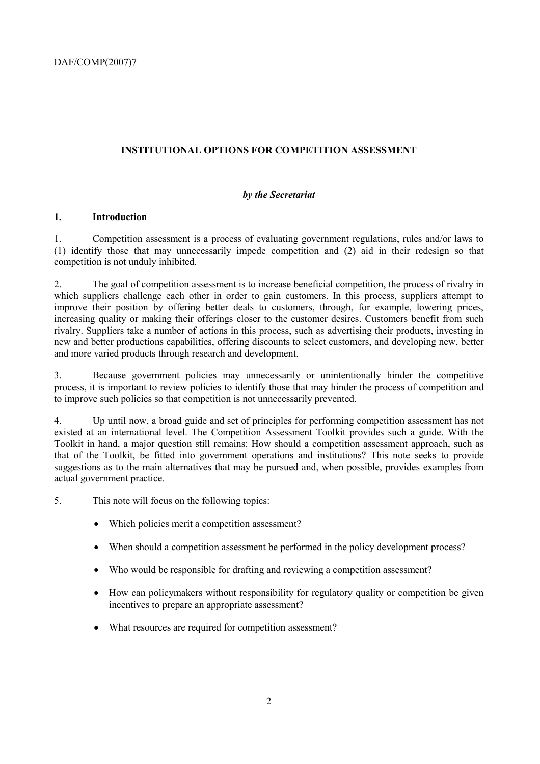### **INSTITUTIONAL OPTIONS FOR COMPETITION ASSESSMENT**

### *by the Secretariat*

### **1. Introduction**

1. Competition assessment is a process of evaluating government regulations, rules and/or laws to (1) identify those that may unnecessarily impede competition and (2) aid in their redesign so that competition is not unduly inhibited.

2. The goal of competition assessment is to increase beneficial competition, the process of rivalry in which suppliers challenge each other in order to gain customers. In this process, suppliers attempt to improve their position by offering better deals to customers, through, for example, lowering prices, increasing quality or making their offerings closer to the customer desires. Customers benefit from such rivalry. Suppliers take a number of actions in this process, such as advertising their products, investing in new and better productions capabilities, offering discounts to select customers, and developing new, better and more varied products through research and development.

3. Because government policies may unnecessarily or unintentionally hinder the competitive process, it is important to review policies to identify those that may hinder the process of competition and to improve such policies so that competition is not unnecessarily prevented.

4. Up until now, a broad guide and set of principles for performing competition assessment has not existed at an international level. The Competition Assessment Toolkit provides such a guide. With the Toolkit in hand, a major question still remains: How should a competition assessment approach, such as that of the Toolkit, be fitted into government operations and institutions? This note seeks to provide suggestions as to the main alternatives that may be pursued and, when possible, provides examples from actual government practice.

5. This note will focus on the following topics:

- Which policies merit a competition assessment?
- When should a competition assessment be performed in the policy development process?
- Who would be responsible for drafting and reviewing a competition assessment?
- How can policymakers without responsibility for regulatory quality or competition be given incentives to prepare an appropriate assessment?
- What resources are required for competition assessment?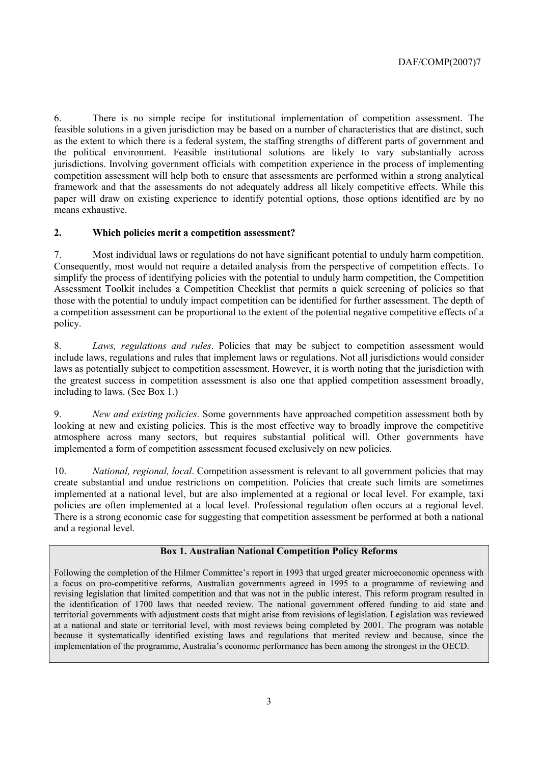6. There is no simple recipe for institutional implementation of competition assessment. The feasible solutions in a given jurisdiction may be based on a number of characteristics that are distinct, such as the extent to which there is a federal system, the staffing strengths of different parts of government and the political environment. Feasible institutional solutions are likely to vary substantially across jurisdictions. Involving government officials with competition experience in the process of implementing competition assessment will help both to ensure that assessments are performed within a strong analytical framework and that the assessments do not adequately address all likely competitive effects. While this paper will draw on existing experience to identify potential options, those options identified are by no means exhaustive.

### **2. Which policies merit a competition assessment?**

7. Most individual laws or regulations do not have significant potential to unduly harm competition. Consequently, most would not require a detailed analysis from the perspective of competition effects. To simplify the process of identifying policies with the potential to unduly harm competition, the Competition Assessment Toolkit includes a Competition Checklist that permits a quick screening of policies so that those with the potential to unduly impact competition can be identified for further assessment. The depth of a competition assessment can be proportional to the extent of the potential negative competitive effects of a policy.

8. *Laws, regulations and rules*. Policies that may be subject to competition assessment would include laws, regulations and rules that implement laws or regulations. Not all jurisdictions would consider laws as potentially subject to competition assessment. However, it is worth noting that the jurisdiction with the greatest success in competition assessment is also one that applied competition assessment broadly, including to laws. (See Box 1.)

9. *New and existing policies*. Some governments have approached competition assessment both by looking at new and existing policies. This is the most effective way to broadly improve the competitive atmosphere across many sectors, but requires substantial political will. Other governments have implemented a form of competition assessment focused exclusively on new policies.

10. *National, regional, local*. Competition assessment is relevant to all government policies that may create substantial and undue restrictions on competition. Policies that create such limits are sometimes implemented at a national level, but are also implemented at a regional or local level. For example, taxi policies are often implemented at a local level. Professional regulation often occurs at a regional level. There is a strong economic case for suggesting that competition assessment be performed at both a national and a regional level.

## **Box 1. Australian National Competition Policy Reforms**

Following the completion of the Hilmer Committee's report in 1993 that urged greater microeconomic openness with a focus on pro-competitive reforms, Australian governments agreed in 1995 to a programme of reviewing and revising legislation that limited competition and that was not in the public interest. This reform program resulted in the identification of 1700 laws that needed review. The national government offered funding to aid state and territorial governments with adjustment costs that might arise from revisions of legislation. Legislation was reviewed at a national and state or territorial level, with most reviews being completed by 2001. The program was notable because it systematically identified existing laws and regulations that merited review and because, since the implementation of the programme, Australiaís economic performance has been among the strongest in the OECD.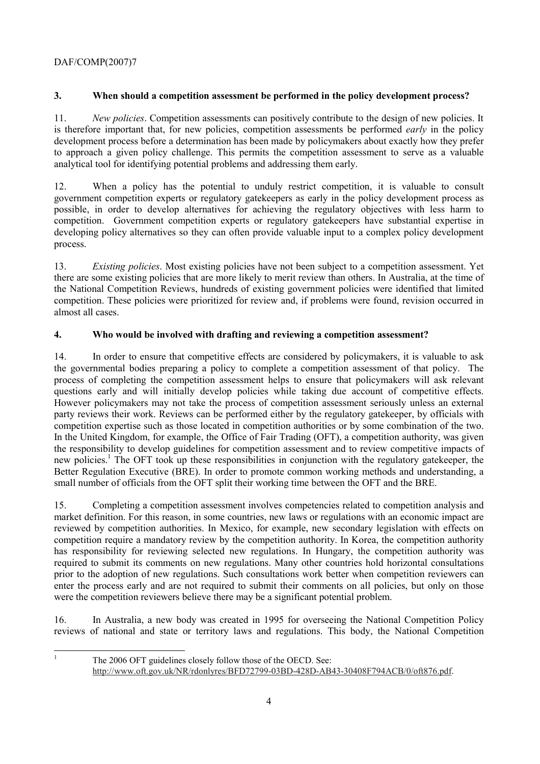## DAF/COMP(2007)7

### **3. When should a competition assessment be performed in the policy development process?**

11. *New policies*. Competition assessments can positively contribute to the design of new policies. It is therefore important that, for new policies, competition assessments be performed *early* in the policy development process before a determination has been made by policymakers about exactly how they prefer to approach a given policy challenge. This permits the competition assessment to serve as a valuable analytical tool for identifying potential problems and addressing them early.

12. When a policy has the potential to unduly restrict competition, it is valuable to consult government competition experts or regulatory gatekeepers as early in the policy development process as possible, in order to develop alternatives for achieving the regulatory objectives with less harm to competition. Government competition experts or regulatory gatekeepers have substantial expertise in developing policy alternatives so they can often provide valuable input to a complex policy development process.

13. *Existing policies*. Most existing policies have not been subject to a competition assessment. Yet there are some existing policies that are more likely to merit review than others. In Australia, at the time of the National Competition Reviews, hundreds of existing government policies were identified that limited competition. These policies were prioritized for review and, if problems were found, revision occurred in almost all cases.

### **4. Who would be involved with drafting and reviewing a competition assessment?**

14. In order to ensure that competitive effects are considered by policymakers, it is valuable to ask the governmental bodies preparing a policy to complete a competition assessment of that policy. The process of completing the competition assessment helps to ensure that policymakers will ask relevant questions early and will initially develop policies while taking due account of competitive effects. However policymakers may not take the process of competition assessment seriously unless an external party reviews their work. Reviews can be performed either by the regulatory gatekeeper, by officials with competition expertise such as those located in competition authorities or by some combination of the two. In the United Kingdom, for example, the Office of Fair Trading (OFT), a competition authority, was given the responsibility to develop guidelines for competition assessment and to review competitive impacts of new policies.<sup>1</sup> The OFT took up these responsibilities in conjunction with the regulatory gatekeeper, the Better Regulation Executive (BRE). In order to promote common working methods and understanding, a small number of officials from the OFT split their working time between the OFT and the BRE.

15. Completing a competition assessment involves competencies related to competition analysis and market definition. For this reason, in some countries, new laws or regulations with an economic impact are reviewed by competition authorities. In Mexico, for example, new secondary legislation with effects on competition require a mandatory review by the competition authority. In Korea, the competition authority has responsibility for reviewing selected new regulations. In Hungary, the competition authority was required to submit its comments on new regulations. Many other countries hold horizontal consultations prior to the adoption of new regulations. Such consultations work better when competition reviewers can enter the process early and are not required to submit their comments on all policies, but only on those were the competition reviewers believe there may be a significant potential problem.

16. In Australia, a new body was created in 1995 for overseeing the National Competition Policy reviews of national and state or territory laws and regulations. This body, the National Competition

|<br>|<br>|

The 2006 OFT guidelines closely follow those of the OECD. See:

http://www.oft.gov.uk/NR/rdonlyres/BFD72799-03BD-428D-AB43-30408F794ACB/0/oft876.pdf.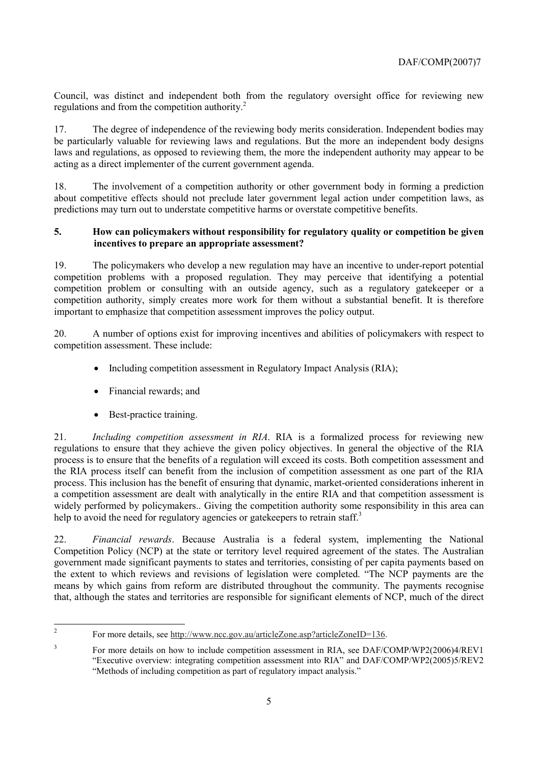Council, was distinct and independent both from the regulatory oversight office for reviewing new regulations and from the competition authority.<sup>2</sup>

17. The degree of independence of the reviewing body merits consideration. Independent bodies may be particularly valuable for reviewing laws and regulations. But the more an independent body designs laws and regulations, as opposed to reviewing them, the more the independent authority may appear to be acting as a direct implementer of the current government agenda.

18. The involvement of a competition authority or other government body in forming a prediction about competitive effects should not preclude later government legal action under competition laws, as predictions may turn out to understate competitive harms or overstate competitive benefits.

### **5. How can policymakers without responsibility for regulatory quality or competition be given incentives to prepare an appropriate assessment?**

19. The policymakers who develop a new regulation may have an incentive to under-report potential competition problems with a proposed regulation. They may perceive that identifying a potential competition problem or consulting with an outside agency, such as a regulatory gatekeeper or a competition authority, simply creates more work for them without a substantial benefit. It is therefore important to emphasize that competition assessment improves the policy output.

20. A number of options exist for improving incentives and abilities of policymakers with respect to competition assessment. These include:

- Including competition assessment in Regulatory Impact Analysis (RIA);
- Financial rewards; and
- Best-practice training.

3

21. *Including competition assessment in RIA*. RIA is a formalized process for reviewing new regulations to ensure that they achieve the given policy objectives. In general the objective of the RIA process is to ensure that the benefits of a regulation will exceed its costs. Both competition assessment and the RIA process itself can benefit from the inclusion of competition assessment as one part of the RIA process. This inclusion has the benefit of ensuring that dynamic, market-oriented considerations inherent in a competition assessment are dealt with analytically in the entire RIA and that competition assessment is widely performed by policymakers.. Giving the competition authority some responsibility in this area can help to avoid the need for regulatory agencies or gatekeepers to retrain staff.<sup>3</sup>

22. *Financial rewards*. Because Australia is a federal system, implementing the National Competition Policy (NCP) at the state or territory level required agreement of the states. The Australian government made significant payments to states and territories, consisting of per capita payments based on the extent to which reviews and revisions of legislation were completed. "The NCP payments are the means by which gains from reform are distributed throughout the community. The payments recognise that, although the states and territories are responsible for significant elements of NCP, much of the direct

 $\frac{1}{2}$ For more details, see http://www.ncc.gov.au/articleZone.asp?articleZoneID=136.

For more details on how to include competition assessment in RIA, see DAF/COMP/WP2(2006)4/REV1 ìExecutive overview: integrating competition assessment into RIAî and DAF/COMP/WP2(2005)5/REV2 "Methods of including competition as part of regulatory impact analysis."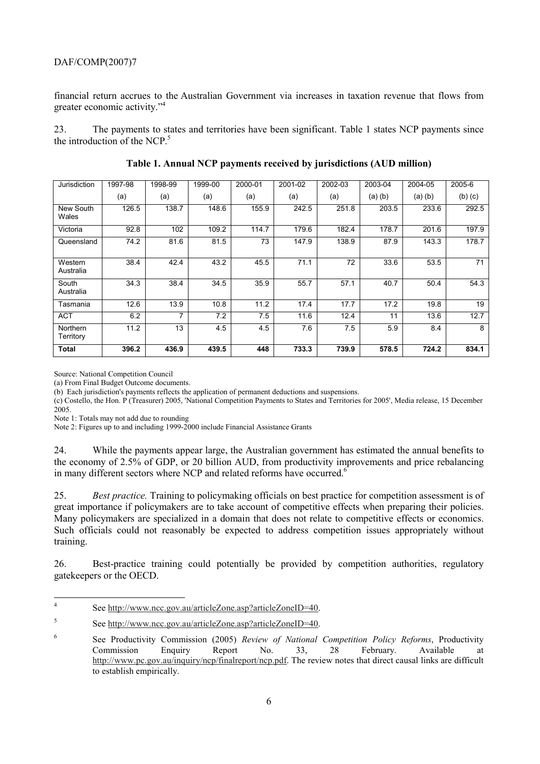### DAF/COMP(2007)7

financial return accrues to the Australian Government via increases in taxation revenue that flows from greater economic activity. $14$ 

23. The payments to states and territories have been significant. Table 1 states NCP payments since the introduction of the NCP $<sup>5</sup>$ </sup>

| Jurisdiction          | 1997-98 | 1998-99 | 1999-00 | 2000-01 | 2001-02 | 2002-03 | 2003-04     | 2004-05     | 2005-6      |
|-----------------------|---------|---------|---------|---------|---------|---------|-------------|-------------|-------------|
|                       | (a)     | (a)     | (a)     | (a)     | (a)     | (a)     | $(a)$ $(b)$ | $(a)$ $(b)$ | $(b)$ $(c)$ |
| New South<br>Wales    | 126.5   | 138.7   | 148.6   | 155.9   | 242.5   | 251.8   | 203.5       | 233.6       | 292.5       |
| Victoria              | 92.8    | 102     | 109.2   | 114.7   | 179.6   | 182.4   | 178.7       | 201.6       | 197.9       |
| Queensland            | 74.2    | 81.6    | 81.5    | 73      | 147.9   | 138.9   | 87.9        | 143.3       | 178.7       |
| Western<br>Australia  | 38.4    | 42.4    | 43.2    | 45.5    | 71.1    | 72      | 33.6        | 53.5        | 71          |
| South<br>Australia    | 34.3    | 38.4    | 34.5    | 35.9    | 55.7    | 57.1    | 40.7        | 50.4        | 54.3        |
| Tasmania              | 12.6    | 13.9    | 10.8    | 11.2    | 17.4    | 17.7    | 17.2        | 19.8        | 19          |
| <b>ACT</b>            | 6.2     | 7       | 7.2     | 7.5     | 11.6    | 12.4    | 11          | 13.6        | 12.7        |
| Northern<br>Territory | 11.2    | 13      | 4.5     | 4.5     | 7.6     | 7.5     | 5.9         | 8.4         | 8           |
| <b>Total</b>          | 396.2   | 436.9   | 439.5   | 448     | 733.3   | 739.9   | 578.5       | 724.2       | 834.1       |

**Table 1. Annual NCP payments received by jurisdictions (AUD million)** 

Source: National Competition Council

(a) From Final Budget Outcome documents.

(b) Each jurisdiction's payments reflects the application of permanent deductions and suspensions.

(c) Costello, the Hon. P (Treasurer) 2005, 'National Competition Payments to States and Territories for 2005', Media release, 15 December 2005.

Note 1: Totals may not add due to rounding

Note 2: Figures up to and including 1999-2000 include Financial Assistance Grants

24. While the payments appear large, the Australian government has estimated the annual benefits to the economy of 2.5% of GDP, or 20 billion AUD, from productivity improvements and price rebalancing in many different sectors where NCP and related reforms have occurred.<sup>6</sup>

25. *Best practice.* Training to policymaking officials on best practice for competition assessment is of great importance if policymakers are to take account of competitive effects when preparing their policies. Many policymakers are specialized in a domain that does not relate to competitive effects or economics. Such officials could not reasonably be expected to address competition issues appropriately without training.

26. Best-practice training could potentially be provided by competition authorities, regulatory gatekeepers or the OECD.

 $\frac{1}{4}$ See http://www.ncc.gov.au/articleZone.asp?articleZoneID=40.

<sup>5</sup> See http://www.ncc.gov.au/articleZone.asp?articleZoneID=40.

<sup>6</sup> See Productivity Commission (2005) *Review of National Competition Policy Reforms*, Productivity Commission Enquiry Report No. 33, 28 February. Available at http://www.pc.gov.au/inquiry/ncp/finalreport/ncp.pdf. The review notes that direct causal links are difficult to establish empirically.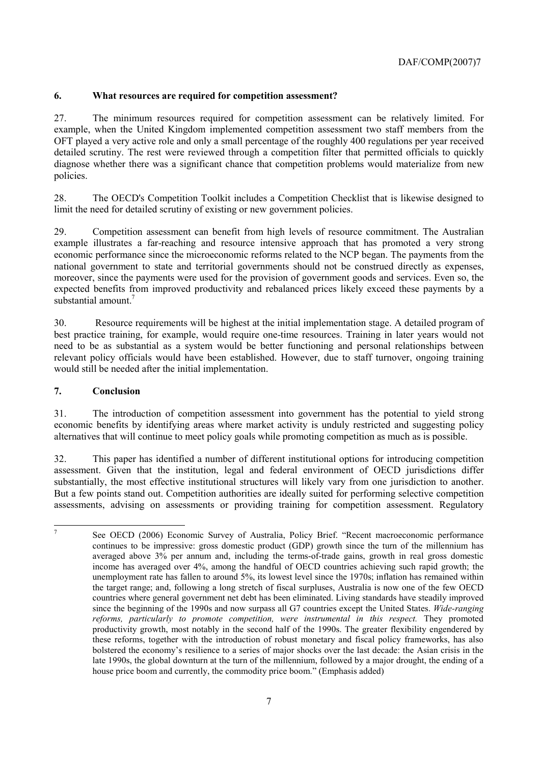### **6. What resources are required for competition assessment?**

27. The minimum resources required for competition assessment can be relatively limited. For example, when the United Kingdom implemented competition assessment two staff members from the OFT played a very active role and only a small percentage of the roughly 400 regulations per year received detailed scrutiny. The rest were reviewed through a competition filter that permitted officials to quickly diagnose whether there was a significant chance that competition problems would materialize from new policies.

28. The OECD's Competition Toolkit includes a Competition Checklist that is likewise designed to limit the need for detailed scrutiny of existing or new government policies.

29. Competition assessment can benefit from high levels of resource commitment. The Australian example illustrates a far-reaching and resource intensive approach that has promoted a very strong economic performance since the microeconomic reforms related to the NCP began. The payments from the national government to state and territorial governments should not be construed directly as expenses, moreover, since the payments were used for the provision of government goods and services. Even so, the expected benefits from improved productivity and rebalanced prices likely exceed these payments by a substantial amount.<sup>7</sup>

30. Resource requirements will be highest at the initial implementation stage. A detailed program of best practice training, for example, would require one-time resources. Training in later years would not need to be as substantial as a system would be better functioning and personal relationships between relevant policy officials would have been established. However, due to staff turnover, ongoing training would still be needed after the initial implementation.

### **7. Conclusion**

31. The introduction of competition assessment into government has the potential to yield strong economic benefits by identifying areas where market activity is unduly restricted and suggesting policy alternatives that will continue to meet policy goals while promoting competition as much as is possible.

32. This paper has identified a number of different institutional options for introducing competition assessment. Given that the institution, legal and federal environment of OECD jurisdictions differ substantially, the most effective institutional structures will likely vary from one jurisdiction to another. But a few points stand out. Competition authorities are ideally suited for performing selective competition assessments, advising on assessments or providing training for competition assessment. Regulatory

<sup>&</sup>lt;sup>-</sup> See OECD (2006) Economic Survey of Australia, Policy Brief. "Recent macroeconomic performance continues to be impressive: gross domestic product (GDP) growth since the turn of the millennium has averaged above 3% per annum and, including the terms-of-trade gains, growth in real gross domestic income has averaged over 4%, among the handful of OECD countries achieving such rapid growth; the unemployment rate has fallen to around 5%, its lowest level since the 1970s; inflation has remained within the target range; and, following a long stretch of fiscal surpluses, Australia is now one of the few OECD countries where general government net debt has been eliminated. Living standards have steadily improved since the beginning of the 1990s and now surpass all G7 countries except the United States. *Wide-ranging reforms, particularly to promote competition, were instrumental in this respect.* They promoted productivity growth, most notably in the second half of the 1990s. The greater flexibility engendered by these reforms, together with the introduction of robust monetary and fiscal policy frameworks, has also bolstered the economy's resilience to a series of major shocks over the last decade: the Asian crisis in the late 1990s, the global downturn at the turn of the millennium, followed by a major drought, the ending of a house price boom and currently, the commodity price boom." (Emphasis added)